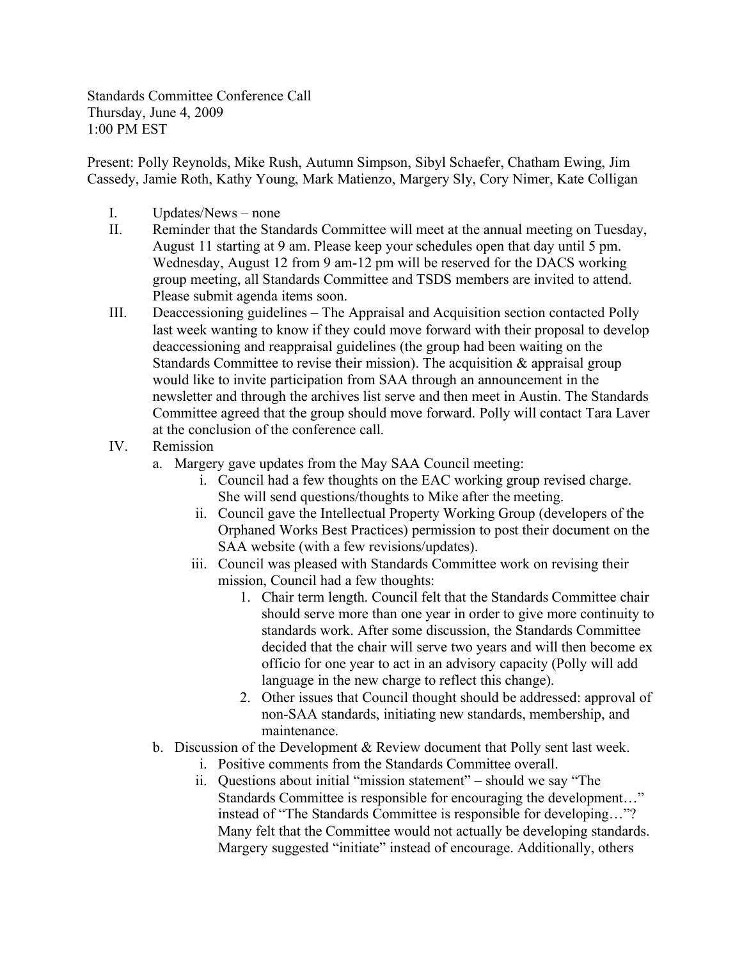Standards Committee Conference Call Thursday, June 4, 2009 1:00 PM EST

Present: Polly Reynolds, Mike Rush, Autumn Simpson, Sibyl Schaefer, Chatham Ewing, Jim Cassedy, Jamie Roth, Kathy Young, Mark Matienzo, Margery Sly, Cory Nimer, Kate Colligan

- I. Updates/News none
- II. Reminder that the Standards Committee will meet at the annual meeting on Tuesday, August 11 starting at 9 am. Please keep your schedules open that day until 5 pm. Wednesday, August 12 from 9 am-12 pm will be reserved for the DACS working group meeting, all Standards Committee and TSDS members are invited to attend. Please submit agenda items soon.
- III. Deaccessioning guidelines The Appraisal and Acquisition section contacted Polly last week wanting to know if they could move forward with their proposal to develop deaccessioning and reappraisal guidelines (the group had been waiting on the Standards Committee to revise their mission). The acquisition  $\&$  appraisal group would like to invite participation from SAA through an announcement in the newsletter and through the archives list serve and then meet in Austin. The Standards Committee agreed that the group should move forward. Polly will contact Tara Laver at the conclusion of the conference call.
- IV. Remission
	- a. Margery gave updates from the May SAA Council meeting:
		- i. Council had a few thoughts on the EAC working group revised charge. She will send questions/thoughts to Mike after the meeting.
		- ii. Council gave the Intellectual Property Working Group (developers of the Orphaned Works Best Practices) permission to post their document on the SAA website (with a few revisions/updates).
		- iii. Council was pleased with Standards Committee work on revising their mission, Council had a few thoughts:
			- 1. Chair term length. Council felt that the Standards Committee chair should serve more than one year in order to give more continuity to standards work. After some discussion, the Standards Committee decided that the chair will serve two years and will then become ex officio for one year to act in an advisory capacity (Polly will add language in the new charge to reflect this change).
			- 2. Other issues that Council thought should be addressed: approval of non-SAA standards, initiating new standards, membership, and maintenance.
	- b. Discussion of the Development & Review document that Polly sent last week.
		- i. Positive comments from the Standards Committee overall.
		- ii. Questions about initial "mission statement" should we say "The Standards Committee is responsible for encouraging the development…" instead of "The Standards Committee is responsible for developing…"? Many felt that the Committee would not actually be developing standards. Margery suggested "initiate" instead of encourage. Additionally, others